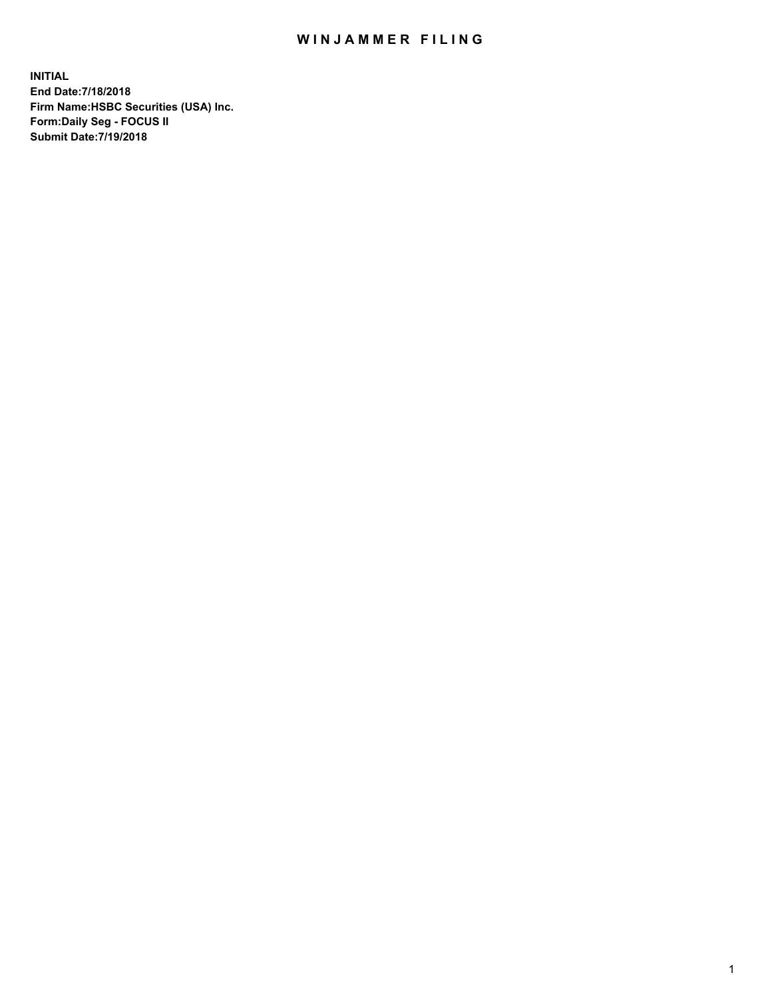## WIN JAMMER FILING

**INITIAL End Date:7/18/2018 Firm Name:HSBC Securities (USA) Inc. Form:Daily Seg - FOCUS II Submit Date:7/19/2018**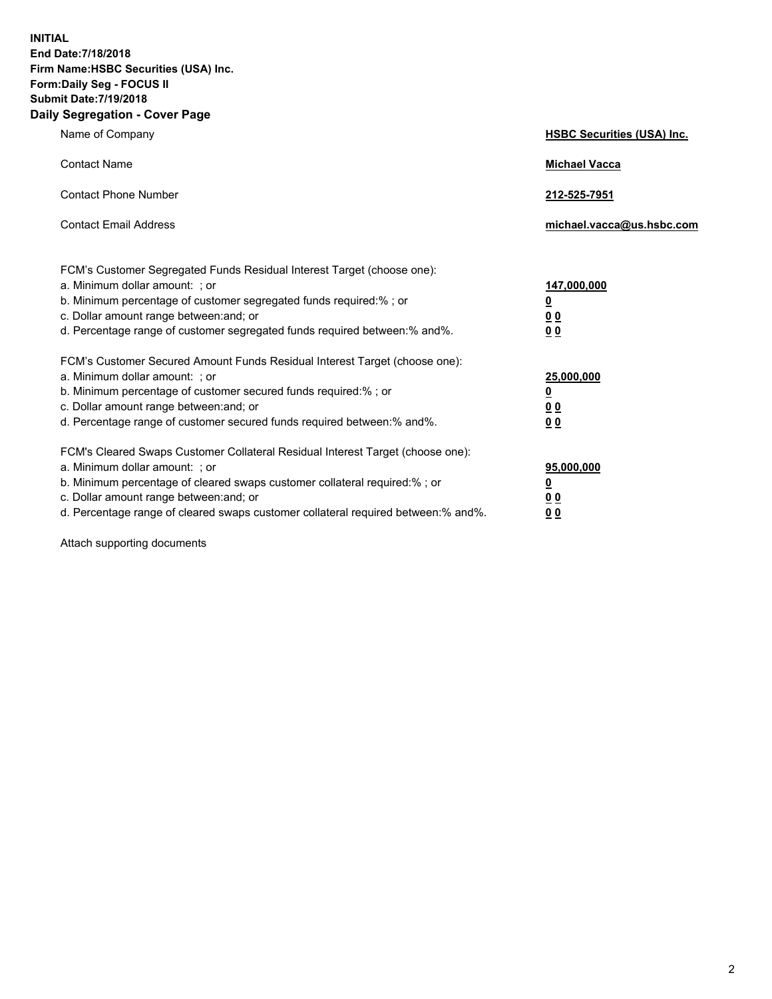**INITIAL End Date:7/18/2018 Firm Name:HSBC Securities (USA) Inc. Form:Daily Seg - FOCUS II Submit Date:7/19/2018 Daily Segregation - Cover Page**

| Name of Company                                                                                                                                                                                                                                                                                                                | <b>HSBC Securities (USA) Inc.</b>                                           |
|--------------------------------------------------------------------------------------------------------------------------------------------------------------------------------------------------------------------------------------------------------------------------------------------------------------------------------|-----------------------------------------------------------------------------|
| <b>Contact Name</b>                                                                                                                                                                                                                                                                                                            | <b>Michael Vacca</b>                                                        |
| <b>Contact Phone Number</b>                                                                                                                                                                                                                                                                                                    | 212-525-7951                                                                |
| <b>Contact Email Address</b>                                                                                                                                                                                                                                                                                                   | michael.vacca@us.hsbc.com                                                   |
| FCM's Customer Segregated Funds Residual Interest Target (choose one):<br>a. Minimum dollar amount: ; or<br>b. Minimum percentage of customer segregated funds required:% ; or<br>c. Dollar amount range between: and; or<br>d. Percentage range of customer segregated funds required between:% and%.                         | 147,000,000<br>$\underline{\mathbf{0}}$<br>0 <sub>0</sub><br>0 <sub>0</sub> |
| FCM's Customer Secured Amount Funds Residual Interest Target (choose one):<br>a. Minimum dollar amount: ; or<br>b. Minimum percentage of customer secured funds required:% ; or<br>c. Dollar amount range between: and; or<br>d. Percentage range of customer secured funds required between: % and %.                         | 25,000,000<br><u>0</u><br>0 <sub>0</sub><br>0 <sub>0</sub>                  |
| FCM's Cleared Swaps Customer Collateral Residual Interest Target (choose one):<br>a. Minimum dollar amount: ; or<br>b. Minimum percentage of cleared swaps customer collateral required:% ; or<br>c. Dollar amount range between: and; or<br>d. Percentage range of cleared swaps customer collateral required between:% and%. | 95,000,000<br><u>0</u><br>00<br>00                                          |

Attach supporting documents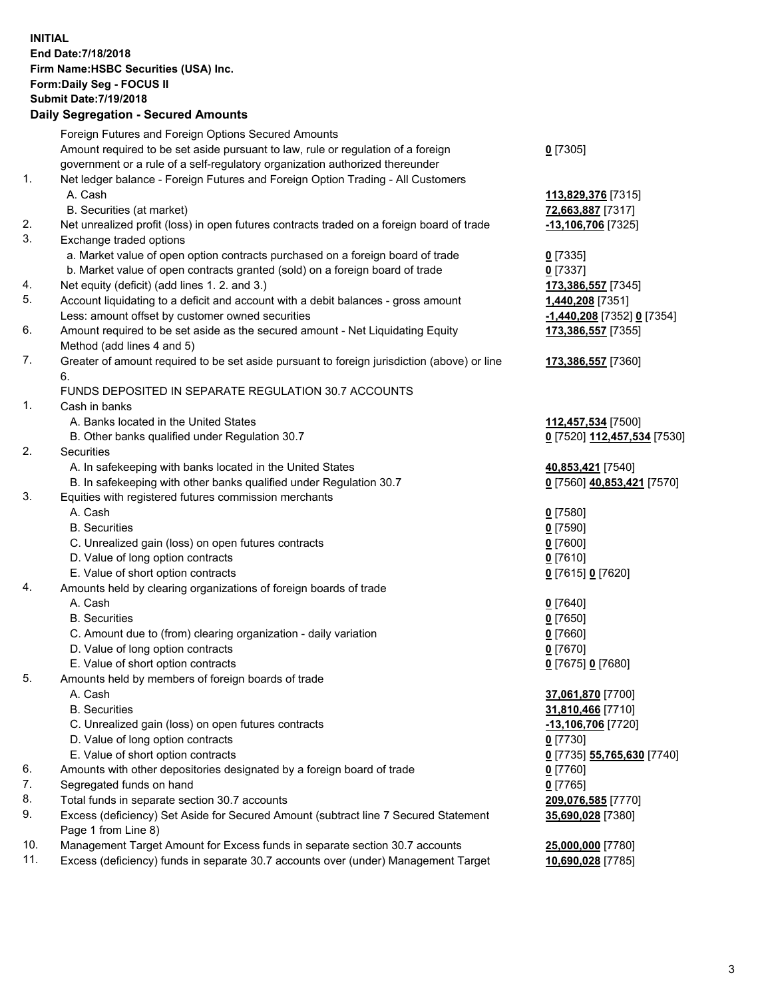**INITIAL End Date:7/18/2018 Firm Name:HSBC Securities (USA) Inc. Form:Daily Seg - FOCUS II Submit Date:7/19/2018 Daily Segregation - Secured Amounts**

|     | Foreign Futures and Foreign Options Secured Amounts                                         |                             |
|-----|---------------------------------------------------------------------------------------------|-----------------------------|
|     | Amount required to be set aside pursuant to law, rule or regulation of a foreign            | $0$ [7305]                  |
|     | government or a rule of a self-regulatory organization authorized thereunder                |                             |
| 1.  | Net ledger balance - Foreign Futures and Foreign Option Trading - All Customers             |                             |
|     | A. Cash                                                                                     | 113,829,376 [7315]          |
|     | B. Securities (at market)                                                                   | 72,663,887 [7317]           |
| 2.  | Net unrealized profit (loss) in open futures contracts traded on a foreign board of trade   | -13,106,706 [7325]          |
| 3.  | Exchange traded options                                                                     |                             |
|     | a. Market value of open option contracts purchased on a foreign board of trade              | $0$ [7335]                  |
|     | b. Market value of open contracts granted (sold) on a foreign board of trade                | $0$ [7337]                  |
| 4.  | Net equity (deficit) (add lines 1.2. and 3.)                                                | 173,386,557 [7345]          |
| 5.  | Account liquidating to a deficit and account with a debit balances - gross amount           | 1,440,208 [7351]            |
|     | Less: amount offset by customer owned securities                                            | -1,440,208 [7352] 0 [7354]  |
| 6.  | Amount required to be set aside as the secured amount - Net Liquidating Equity              | 173,386,557 [7355]          |
|     | Method (add lines 4 and 5)                                                                  |                             |
| 7.  | Greater of amount required to be set aside pursuant to foreign jurisdiction (above) or line | 173,386,557 [7360]          |
|     | 6.                                                                                          |                             |
|     | FUNDS DEPOSITED IN SEPARATE REGULATION 30.7 ACCOUNTS                                        |                             |
| 1.  | Cash in banks                                                                               |                             |
|     | A. Banks located in the United States                                                       | 112,457,534 [7500]          |
|     | B. Other banks qualified under Regulation 30.7                                              | 0 [7520] 112,457,534 [7530] |
| 2.  | Securities                                                                                  |                             |
|     | A. In safekeeping with banks located in the United States                                   | 40,853,421 [7540]           |
|     | B. In safekeeping with other banks qualified under Regulation 30.7                          | 0 [7560] 40,853,421 [7570]  |
| 3.  | Equities with registered futures commission merchants                                       |                             |
|     | A. Cash                                                                                     | $0$ [7580]                  |
|     | <b>B.</b> Securities                                                                        | $0$ [7590]                  |
|     | C. Unrealized gain (loss) on open futures contracts                                         | $0$ [7600]                  |
|     | D. Value of long option contracts                                                           | $0$ [7610]                  |
|     | E. Value of short option contracts                                                          | 0 [7615] 0 [7620]           |
| 4.  | Amounts held by clearing organizations of foreign boards of trade                           |                             |
|     | A. Cash                                                                                     | $0$ [7640]                  |
|     | <b>B.</b> Securities                                                                        | $0$ [7650]                  |
|     | C. Amount due to (from) clearing organization - daily variation                             | $0$ [7660]                  |
|     | D. Value of long option contracts                                                           | $0$ [7670]                  |
|     | E. Value of short option contracts                                                          | 0 [7675] 0 [7680]           |
| 5.  | Amounts held by members of foreign boards of trade                                          |                             |
|     | A. Cash                                                                                     | 37,061,870 [7700]           |
|     | <b>B.</b> Securities                                                                        | 31,810,466 [7710]           |
|     | C. Unrealized gain (loss) on open futures contracts                                         | -13,106,706 [7720]          |
|     | D. Value of long option contracts                                                           | $0$ [7730]                  |
|     | E. Value of short option contracts                                                          | 0 [7735] 55,765,630 [7740]  |
| 6.  | Amounts with other depositories designated by a foreign board of trade                      | $0$ [7760]                  |
| 7.  | Segregated funds on hand                                                                    | $0$ [7765]                  |
| 8.  | Total funds in separate section 30.7 accounts                                               | 209,076,585 [7770]          |
| 9.  | Excess (deficiency) Set Aside for Secured Amount (subtract line 7 Secured Statement         | 35,690,028 [7380]           |
|     | Page 1 from Line 8)                                                                         |                             |
| 10. | Management Target Amount for Excess funds in separate section 30.7 accounts                 | 25,000,000 [7780]           |
| 11. | Excess (deficiency) funds in separate 30.7 accounts over (under) Management Target          | 10,690,028 [7785]           |
|     |                                                                                             |                             |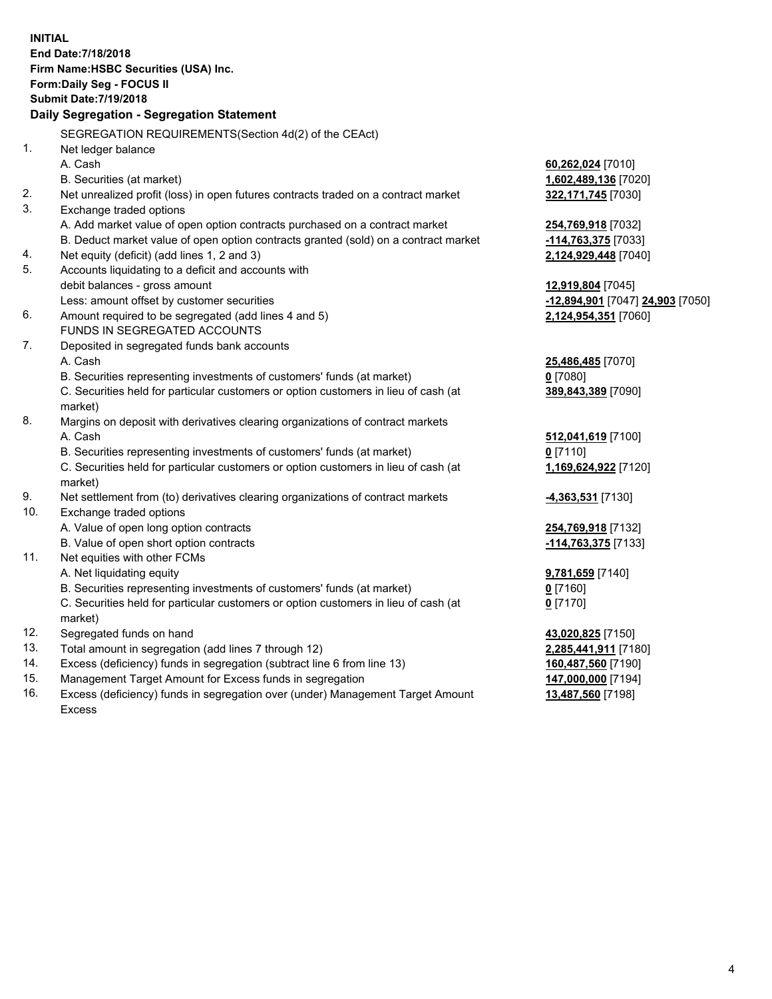**INITIAL End Date:7/18/2018 Firm Name:HSBC Securities (USA) Inc. Form:Daily Seg - FOCUS II Submit Date:7/19/2018 Daily Segregation - Segregation Statement** SEGREGATION REQUIREMENTS(Section 4d(2) of the CEAct) 1. Net ledger balance A. Cash **60,262,024** [7010] B. Securities (at market) **1,602,489,136** [7020] 2. Net unrealized profit (loss) in open futures contracts traded on a contract market **322,171,745** [7030] 3. Exchange traded options A. Add market value of open option contracts purchased on a contract market **254,769,918** [7032] B. Deduct market value of open option contracts granted (sold) on a contract market **-114,763,375** [7033] 4. Net equity (deficit) (add lines 1, 2 and 3) **2,124,929,448** [7040] 5. Accounts liquidating to a deficit and accounts with debit balances - gross amount **12,919,804** [7045] Less: amount offset by customer securities **-12,894,901** [7047] **24,903** [7050] 6. Amount required to be segregated (add lines 4 and 5) **2,124,954,351** [7060] FUNDS IN SEGREGATED ACCOUNTS 7. Deposited in segregated funds bank accounts A. Cash **25,486,485** [7070] B. Securities representing investments of customers' funds (at market) **0** [7080] C. Securities held for particular customers or option customers in lieu of cash (at market) **389,843,389** [7090] 8. Margins on deposit with derivatives clearing organizations of contract markets A. Cash **512,041,619** [7100] B. Securities representing investments of customers' funds (at market) **0** [7110] C. Securities held for particular customers or option customers in lieu of cash (at market) **1,169,624,922** [7120] 9. Net settlement from (to) derivatives clearing organizations of contract markets **-4,363,531** [7130] 10. Exchange traded options A. Value of open long option contracts **254,769,918** [7132] B. Value of open short option contracts **-114,763,375** [7133] 11. Net equities with other FCMs A. Net liquidating equity **9,781,659** [7140] B. Securities representing investments of customers' funds (at market) **0** [7160] C. Securities held for particular customers or option customers in lieu of cash (at market) **0** [7170] 12. Segregated funds on hand **43,020,825** [7150] 13. Total amount in segregation (add lines 7 through 12) **2,285,441,911** [7180] 14. Excess (deficiency) funds in segregation (subtract line 6 from line 13) **160,487,560** [7190] 15. Management Target Amount for Excess funds in segregation **147,000,000** [7194]

16. Excess (deficiency) funds in segregation over (under) Management Target Amount Excess

**13,487,560** [7198]